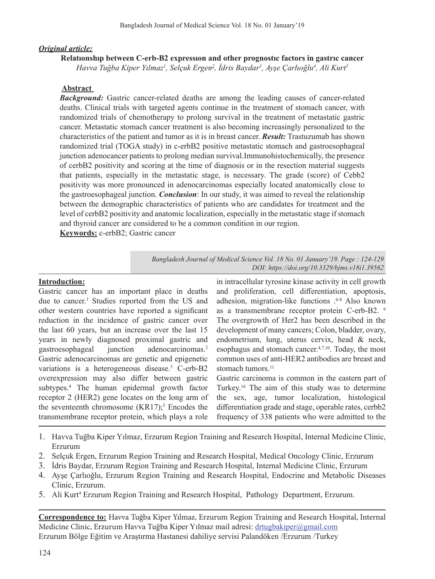## *Original article:*

### **Relatıonshıp between C-erb-B2 expressıon and other prognostıc factors in gastrıc cancer**

*Havva Tuğba Kiper Yılmaz<sup>1</sup> , Selçuk Ergen2 , İdris Baydar<sup>3</sup> , Ayşe Çarlıoğlu<sup>4</sup> , Ali Kurt<sup>5</sup>*

## **Abstract**

*Background:* Gastric cancer-related deaths are among the leading causes of cancer-related deaths. Clinical trials with targeted agents continue in the treatment of stomach cancer, with randomized trials of chemotherapy to prolong survival in the treatment of metastatic gastric cancer. Metastatic stomach cancer treatment is also becoming increasingly personalized to the characteristics of the patient and tumor as it is in breast cancer. *Result:* Trastuzumab has shown randomized trial (TOGA study) in c-erbB2 positive metastatic stomach and gastroesophageal junction adenocancer patients to prolong median survival.Immunohistochemically, the presence of cerbB2 positivity and scoring at the time of diagnosis or in the resection material suggests that patients, especially in the metastatic stage, is necessary. The grade (score) of Cebb2 positivity was more pronounced in adenocarcinomas especially located anatomically close to the gastroesophageal junction. *Conclusion*: In our study, it was aimed to reveal the relationship between the demographic characteristics of patients who are candidates for treatment and the level of cerbB2 positivity and anatomic localization, especially in the metastatic stage if stomach and thyroid cancer are considered to be a common condition in our region.

**Keywords:** c-erbB2; Gastric cancer

## **Introduction:**

Gastric cancer has an important place in deaths due to cancer.<sup>1</sup> Studies reported from the US and other western countries have reported a significant reduction in the incidence of gastric cancer over the last 60 years, but an increase over the last 15 years in newly diagnosed proximal gastric and gastroesophageal junction adenocarcinomas.2 Gastric adenocarcinomas are genetic and epigenetic variations is a heterogeneous disease.<sup>3</sup> C-erb-B2 overexpression may also differ between gastric subtypes.4 The human epidermal growth factor receptor 2 (HER2) gene locates on the long arm of the seventeenth chromosome  $(KR17);$ <sup>5</sup> Encodes the transmembrane receptor protein, which plays a role

in intracellular tyrosine kinase activity in cell growth and proliferation, cell differentiation, apoptosis, adhesion, migration-like functions . 6-8 Also known as a transmembrane receptor protein C-erb-B2. <sup>9</sup> The overgrowth of Her2 has been described in the development of many cancers; Colon, bladder, ovary, endometrium, lung, uterus cervix, head & neck, esophagus and stomach cancer.<sup>4,7,10</sup>. Today, the most common uses of anti-HER2 antibodies are breast and stomach tumors.<sup>11</sup>

Gastric carcinoma is common in the eastern part of Turkey.16 The aim of this study was to determine the sex, age, tumor localization, histological differentiation grade and stage, operable rates, cerbb2 frequency of 338 patients who were admitted to the

- 1. Havva Tuğba Kiper Yılmaz, Erzurum Region Training and Research Hospital, Internal Medicine Clinic, Erzurum
- 2. Selçuk Ergen, Erzurum Region Training and Research Hospital, Medical Oncology Clinic, Erzurum
- 3. İdris Baydar, Erzurum Region Training and Research Hospital, Internal Medicine Clinic, Erzurum
- 4. Ayşe Çarlıoğlu, Erzurum Region Training and Research Hospital, Endocrine and Metabolic Diseases Clinic, Erzurum.
- 5. Ali Kurt<sup>4</sup> Erzurum Region Training and Research Hospital, Pathology Department, Erzurum.

**Correspondence to:** Havva Tuğba Kiper Yılmaz, Erzurum Region Training and Research Hospital, Internal Medicine Clinic, Erzurum Havva Tuğba Kiper Yılmaz mail adresi: drtugbakiper@gmail.com Erzurum Bölge Eğitim ve Araştırma Hastanesi dahiliye servisi Palandöken /Erzurum /Turkey

*Bangladesh Journal of Medical Science Vol. 18 No. 01 January'19. Page : 124-129 DOI: https://doi.org/10.3329/bjms.v18i1.39562*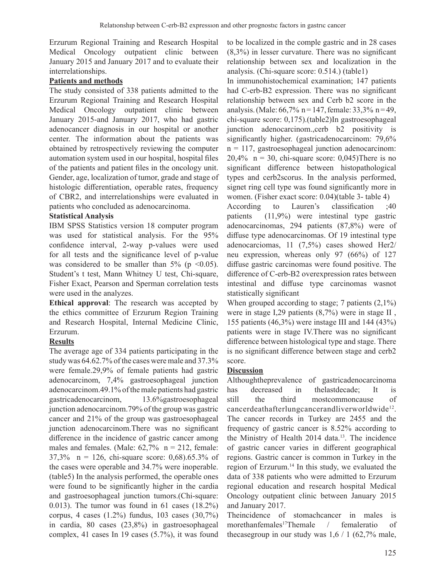Erzurum Regional Training and Research Hospital Medical Oncology outpatient clinic between January 2015 and January 2017 and to evaluate their interrelationships.

## **Patients and methods**

The study consisted of 338 patients admitted to the Erzurum Regional Training and Research Hospital Medical Oncology outpatient clinic between January 2015-and January 2017, who had gastric adenocancer diagnosis in our hospital or another center. The information about the patients was obtained by retrospectively reviewing the computer automation system used in our hospital, hospital files of the patients and patient files in the oncology unit. Gender, age, localization of tumor, grade and stage of histologic differentiation, operable rates, frequency of CBR2, and interrelationships were evaluated in patients who concluded as adenocarcinoma.

### **Statistical Analysis**

IBM SPSS Statistics version 18 computer program was used for statistical analysis. For the 95% confidence interval, 2-way p-values were used for all tests and the significance level of p-value was considered to be smaller than  $5\%$  (p <0.05). Student's t test, Mann Whitney U test, Chi-square, Fisher Exact, Pearson and Sperman correlation tests were used in the analyzes.

**Ethical approval**: The research was accepted by the ethics committee of Erzurum Region Training and Research Hospital, Internal Medicine Clinic, Erzurum.

## **Results**

The average age of 334 patients participating in the study was 64.62.7% of the cases were male and 37.3% were female.29,9% of female patients had gastric adenocarcinom, 7,4% gastroesophageal junction adenocarcinom.49.1% of the male patients had gastric gastricadenocarcinom, 13.6%gastroesophageal junction adenocarcinom.79% of the group was gastric cancer and 21% of the group was gastroesophageal junction adenocarcinom.There was no significant difference in the incidence of gastric cancer among males and females. (Male:  $62,7\%$  n = 212, female: 37,3% n = 126, chi-square score: 0,68).65.3% of the cases were operable and 34.7% were inoperable. (table5) In the analysis performed, the operable ones were found to be significantly higher in the cardia and gastroesophageal junction tumors.(Chi-square: 0.013). The tumor was found in 61 cases (18.2%) corpus, 4 cases (1.2%) fundus, 103 cases (30,7%) in cardia, 80 cases (23,8%) in gastroesophageal complex, 41 cases In 19 cases (5.7%), it was found

to be localized in the comple gastric and in 28 cases (8,3%) in lesser curvature. There was no significant relationship between sex and localization in the analysis. (Chi-square score: 0.514.) (table1)

In immunohistochemical examination; 147 patients had C-erb-B2 expression. There was no significant relationship between sex and Cerb b2 score in the analysis. (Male:  $66,7\%$  n = 147, female:  $33,3\%$  n = 49, chi-square score: 0,175).(table2)In gastroesophageal junction adenocarcinom.,cerb b2 positivity is significantly higher. (gastricadenocarcinom: 79,6%  $n = 117$ , gastroesophageal junction adenocarcinom: 20,4%  $n = 30$ , chi-square score: 0,045) There is no significant difference between histopathological types and cerb2scorus. In the analysis performed, signet ring cell type was found significantly more in women. (Fisher exact score: 0.04)(table 3- table 4)

According to Lauren's classification ;40 patients (11,9%) were intestinal type gastric adenocarcinomas, 294 patients (87,8%) were of diffuse type adenocarcinomas. Of 19 intestinal type adenocarciomas, 11 (7,5%) cases showed Her2/ neu expression, whereas only 97 (66%) of 127 diffuse gastric carcinomas were found positive. The difference of C-erb-B2 overexpression rates between intestinal and diffuse type carcinomas wasnot statistically significant

When grouped according to stage; 7 patients  $(2,1\%)$ were in stage I,29 patients (8,7%) were in stage II , 155 patients (46,3%) were instage III and 144 (43%) patients were in stage IV.There was no significant difference between histological type and stage. There is no significant difference between stage and cerb2 score.

### **Discussion**

Althoughtheprevalence of gastricadenocarcinoma has decreased in thelastdecade; It is still the third mostcommoncause of cancerdeathafterlungcancerandliverworldwide12. The cancer records in Turkey are 2455 and the frequency of gastric cancer is 8.52% according to the Ministry of Health 2014 data.13. The incidence of gastric cancer varies in different geographical regions. Gastric cancer is common in Turkey in the region of Erzurum.<sup>14</sup> In this study, we evaluated the data of 338 patients who were admitted to Erzurum regional education and research hospital Medical Oncology outpatient clinic between January 2015 and January 2017.

Theincidence of stomachcancer in males is morethanfemales17Themale / femaleratio of the casegroup in our study was  $1,6 / 1$  (62,7% male,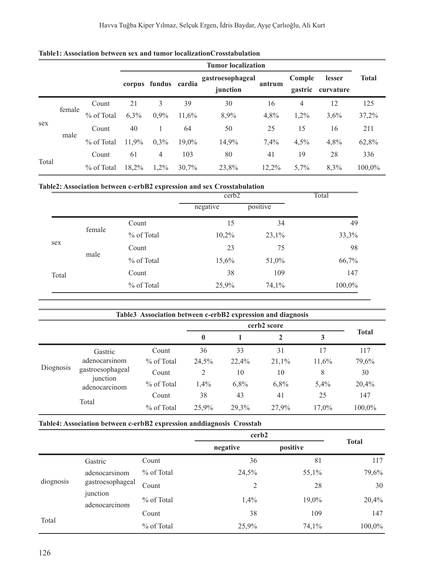|       |        |            | <b>Tumor localization</b> |                      |       |                              |        |                   |                     |              |
|-------|--------|------------|---------------------------|----------------------|-------|------------------------------|--------|-------------------|---------------------|--------------|
|       |        |            |                           | corpus fundus cardia |       | gastroesophageal<br>junction | antrum | Comple<br>gastric | lesser<br>curvature | <b>Total</b> |
| sex   | female | Count      | 21                        | 3                    | 39    | 30                           | 16     | $\overline{4}$    | 12                  | 125          |
|       |        | % of Total | 6,3%                      | 0,9%                 | 11,6% | 8,9%                         | 4,8%   | 1,2%              | 3,6%                | 37,2%        |
|       | male   | Count      | 40                        | 1                    | 64    | 50                           | 25     | 15                | 16                  | 211          |
|       |        | % of Total | 11,9%                     | 0,3%                 | 19,0% | 14,9%                        | 7,4%   | 4,5%              | 4,8%                | 62,8%        |
| Total |        | Count      | 61                        | $\overline{4}$       | 103   | 80                           | 41     | 19                | 28                  | 336          |
|       |        | % of Total | 18,2%                     | 1,2%                 | 30,7% | 23,8%                        | 12,2%  | 5,7%              | 8,3%                | 100.0%       |

# **Table2: Association between c-erbB2 expression and sex Crosstabulation**

|       |        |            | cerb2    |          | Total  |  |
|-------|--------|------------|----------|----------|--------|--|
|       |        |            | negative | positive |        |  |
|       |        | Count      | 15       | 34       | 49     |  |
|       | female | % of Total | 10,2%    | 23,1%    | 33,3%  |  |
| sex   | male   | Count      | 23       | 75       | 98     |  |
|       |        | % of Total | 15,6%    | 51,0%    | 66,7%  |  |
| Total |        | Count      | 38       | 109      | 147    |  |
|       |        | % of Total | 25,9%    | 74,1%    | 100,0% |  |

| Table3 Association between c-erbB2 expression and diagnosis |                                                                                    |            |              |       |       |       |              |  |
|-------------------------------------------------------------|------------------------------------------------------------------------------------|------------|--------------|-------|-------|-------|--------------|--|
|                                                             |                                                                                    |            |              |       |       |       |              |  |
|                                                             |                                                                                    |            | $\mathbf{0}$ |       |       |       | <b>Total</b> |  |
| Diognosis                                                   | Gastric<br>adenocarsinom<br>gastroesophageal<br>junction<br>adenocarcinom<br>Total | Count      | 36           | 33    | 31    | 17    | 117          |  |
|                                                             |                                                                                    | % of Total | 24,5%        | 22,4% | 21,1% | 11,6% | 79,6%        |  |
|                                                             |                                                                                    | Count      | 2            | 10    | 10    | 8     | 30           |  |
|                                                             |                                                                                    | % of Total | 1,4%         | 6,8%  | 6,8%  | 5,4%  | 20,4%        |  |
|                                                             |                                                                                    | Count      | 38           | 43    | 41    | 25    | 147          |  |
|                                                             |                                                                                    | % of Total | 25.9%        | 29.3% | 27,9% | 17.0% | 100,0%       |  |

### **Table4: Association between c-erbB2 expression anddiagnosis Crosstab**

|           |                                                                |              | cerb <sub>2</sub> |          |              |
|-----------|----------------------------------------------------------------|--------------|-------------------|----------|--------------|
|           |                                                                |              | negative          | positive | <b>Total</b> |
| diognosis | Gastric                                                        | Count        | 36                | 81       | 117          |
|           | adenocarsinom<br>gastroesophageal<br>junction<br>adenocarcinom | $%$ of Total | 24,5%             | 55,1%    | 79,6%        |
|           |                                                                | Count        | 2                 | 28       | 30           |
|           |                                                                | % of Total   | 1,4%              | 19,0%    | 20,4%        |
|           |                                                                | Count        | 38                | 109      | 147          |
| Total     |                                                                | % of Total   | 25,9%             | 74,1%    | 100,0%       |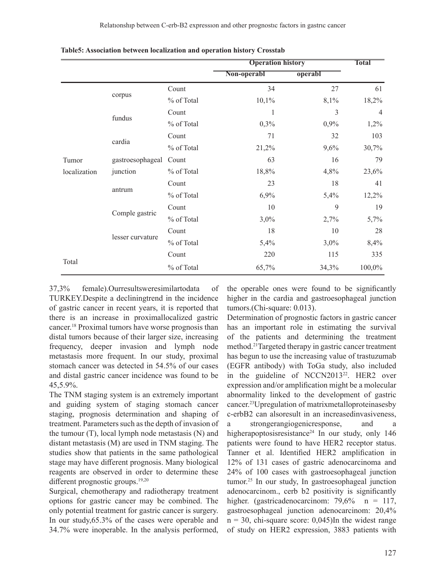|              |                  |            | <b>Operation history</b> |         | <b>Total</b>   |
|--------------|------------------|------------|--------------------------|---------|----------------|
|              |                  |            | Non-operabl              | operabl |                |
|              |                  | Count      | 34                       | 27      | 61             |
|              | corpus           | % of Total | 10,1%                    | 8,1%    | 18,2%          |
|              | fundus           | Count      | 1                        | 3       | $\overline{4}$ |
|              |                  | % of Total | 0,3%                     | 0,9%    | 1,2%           |
|              |                  | Count      | 71                       | 32      | 103            |
|              | cardia           | % of Total | 21,2%                    | 9,6%    | 30,7%          |
| Tumor        | gastroesophageal | Count      | 63                       | 16      | 79             |
| localization | junction         | % of Total | 18,8%                    | 4,8%    | 23,6%          |
|              |                  | Count      | 23                       | 18      | 41             |
|              | antrum           | % of Total | 6,9%                     | 5,4%    | 12,2%          |
|              | Comple gastric   | Count      | 10                       | 9       | 19             |
|              |                  | % of Total | $3,0\%$                  | 2,7%    | 5,7%           |
|              |                  | Count      | 18                       | 10      | 28             |
|              | lesser curvature | % of Total | 5,4%                     | $3,0\%$ | 8,4%           |
|              |                  | Count      | 220                      | 115     | 335            |
| Total        |                  | % of Total | 65,7%                    | 34,3%   | 100,0%         |

**Table5: Association between localization and operation history Crosstab**

37,3% female).Ourresultsweresimilartodata of TURKEY.Despite a decliningtrend in the incidence of gastric cancer in recent years, it is reported that there is an increase in proximallocalized gastric cancer.18 Proximal tumors have worse prognosis than distal tumors because of their larger size, increasing frequency, deeper invasion and lymph node metastasis more frequent. In our study, proximal stomach cancer was detected in 54.5% of our cases and distal gastric cancer incidence was found to be 45,5.9%.

The TNM staging system is an extremely important and guiding system of staging stomach cancer staging, prognosis determination and shaping of treatment. Parameters such as the depth of invasion of the tumour (T), local lymph node metastasis (N) and distant metastasis (M) are used in TNM staging. The studies show that patients in the same pathological stage may have different prognosis. Many biological reagents are observed in order to determine these different prognostic groups.<sup>19,20</sup>

Surgical, chemotherapy and radiotherapy treatment options for gastric cancer may be combined. The only potential treatment for gastric cancer is surgery. In our study,65.3% of the cases were operable and 34.7% were inoperable. In the analysis performed, the operable ones were found to be significantly higher in the cardia and gastroesophageal junction tumors.(Chi-square: 0.013).

Determination of prognostic factors in gastric cancer has an important role in estimating the survival of the patients and determining the treatment method.21Targeted therapy in gastric cancer treatment has begun to use the increasing value of trastuzumab (EGFR antibody) with ToGa study, also included in the guideline of NCCN2013<sup>22</sup>. HER2 over expression and/or amplification might be a molecular abnormality linked to the development of gastric cancer.23Upregulation of matrixmetalloproteinasesby c-erbB2 can alsoresult in an increasedinvasiveness, a strongerangiogenicresponse, and a higherapoptosisresistance<sup>24</sup> In our study, only 146 patients were found to have HER2 receptor status. Tanner et al. Identified HER2 amplification in 12% of 131 cases of gastric adenocarcinoma and 24% of 100 cases with gastroesophageal junction tumor.<sup>25</sup> In our study, In gastroesophageal junction adenocarcinom., cerb b2 positivity is significantly higher. (gastricadenocarcinom: 79,6% n = 117, gastroesophageal junction adenocarcinom: 20,4%  $n = 30$ , chi-square score: 0,045)In the widest range of study on HER2 expression, 3883 patients with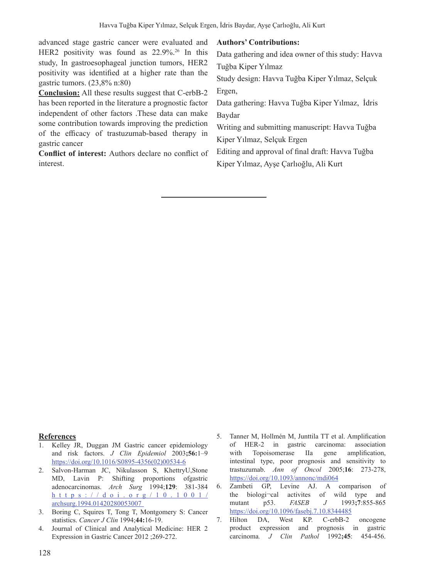advanced stage gastric cancer were evaluated and HER2 positivity was found as 22.9%.<sup>26</sup> In this study, In gastroesophageal junction tumors, HER2 positivity was identified at a higher rate than the gastric tumors. (23,8% n:80)

**Conclusion:** All these results suggest that C-erbB-2 has been reported in the literature a prognostic factor independent of other factors .These data can make some contribution towards improving the prediction of the efficacy of trastuzumab-based therapy in gastric cancer

**Conflict of interest:** Authors declare no conflict of interest.

## **Authors' Contributions:**

Data gathering and idea owner of this study: Havva Tuğba Kiper Yılmaz

Study design: Havva Tuğba Kiper Yılmaz, Selçuk Ergen,

Data gathering: Havva Tuğba Kiper Yılmaz, İdris Baydar

Writing and submitting manuscript: Havva Tuğba Kiper Yılmaz, Selçuk Ergen

Editing and approval of final draft: Havva Tuğba Kiper Yılmaz, Ayşe Çarlıoğlu, Ali Kurt

### **References**

- 1. Kelley JR, Duggan JM Gastric cancer epidemiology and risk factors. *J Clin Epidemiol* 2003**;56:**1–9 https://doi.org/10.1016/S0895-4356(02)00534-6
- 2. Salvon-Harman JC, Nikulasson S, KhettryU,Stone MD, Lavin P: Shifting proportions ofgastric adenocarcinomas. *Arch Surg* 1994;**129**: 381-384 https://doi.org/10.1001/ archsurg.1994.01420280053007
- 3. Boring C, Squires T, Tong T, Montgomery S: Cancer statistics. *Cancer J Clin* 1994;**44:**16-19.
- 4. Journal of Clinical and Analytical Medicine: HER 2 Expression in Gastric Cancer 2012 ;269-272.
- 5. Tanner M, Hollmén M, Junttila TT et al. Amplification of HER-2 in gastric carcinoma: association with Topoisomerase IIa gene amplification, intestinal type, poor prognosis and sensitivity to trastuzumab. *Ann of Oncol* 2005;**16**: 273-278, https://doi.org/10.1093/annonc/mdi064

6. Zambeti GP, Levine AJ. A comparison of the biologi¬cal activites of wild type and mutant p53. *FASEB J* 1993**;7**:855-865 https://doi.org/10.1096/fasebj.7.10.8344485

7. Hilton DA, West KP. C-erbB-2 oncogene product expression and prognosis in gastric carcinoma*. J Clin Pathol* 1992**;45**: 454-456.